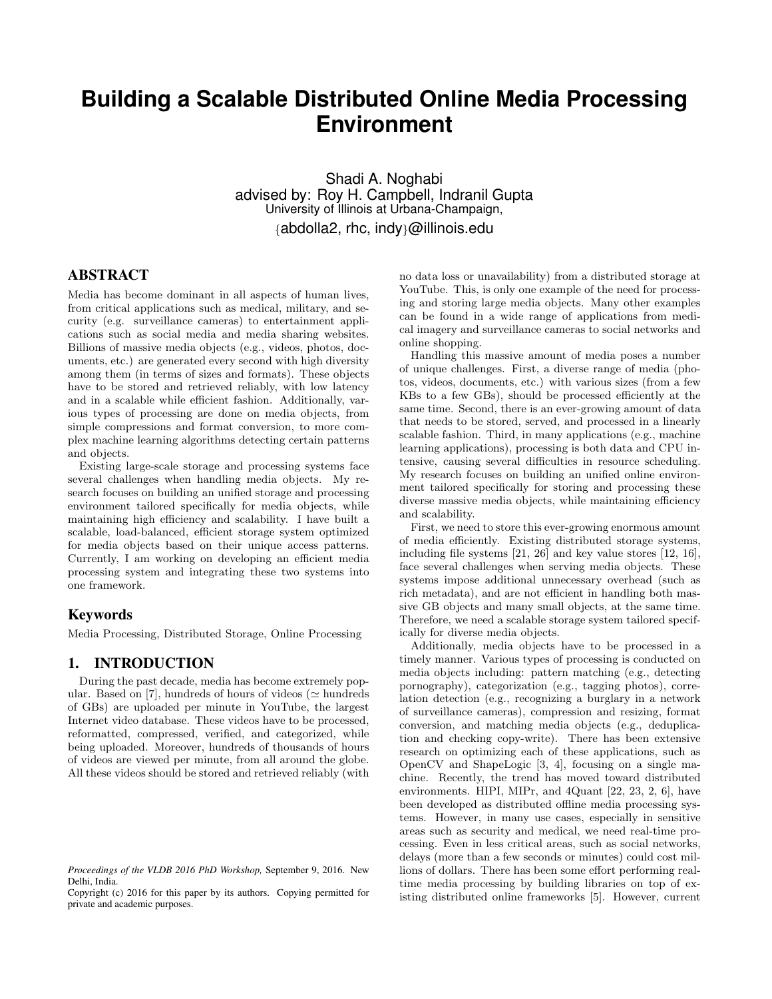# **Building a Scalable Distributed Online Media Processing Environment**

Shadi A. Noghabi advised by: Roy H. Campbell, Indranil Gupta University of Illinois at Urbana-Champaign, {abdolla2, rhc, indy}@illinois.edu

# ABSTRACT

Media has become dominant in all aspects of human lives, from critical applications such as medical, military, and security (e.g. surveillance cameras) to entertainment applications such as social media and media sharing websites. Billions of massive media objects (e.g., videos, photos, documents, etc.) are generated every second with high diversity among them (in terms of sizes and formats). These objects have to be stored and retrieved reliably, with low latency and in a scalable while efficient fashion. Additionally, various types of processing are done on media objects, from simple compressions and format conversion, to more complex machine learning algorithms detecting certain patterns and objects.

Existing large-scale storage and processing systems face several challenges when handling media objects. My research focuses on building an unified storage and processing environment tailored specifically for media objects, while maintaining high efficiency and scalability. I have built a scalable, load-balanced, efficient storage system optimized for media objects based on their unique access patterns. Currently, I am working on developing an efficient media processing system and integrating these two systems into one framework.

## Keywords

Media Processing, Distributed Storage, Online Processing

## 1. INTRODUCTION

During the past decade, media has become extremely popular. Based on [7], hundreds of hours of videos ( $\simeq$  hundreds of GBs) are uploaded per minute in YouTube, the largest Internet video database. These videos have to be processed, reformatted, compressed, verified, and categorized, while being uploaded. Moreover, hundreds of thousands of hours of videos are viewed per minute, from all around the globe. All these videos should be stored and retrieved reliably (with no data loss or unavailability) from a distributed storage at YouTube. This, is only one example of the need for processing and storing large media objects. Many other examples can be found in a wide range of applications from medical imagery and surveillance cameras to social networks and online shopping.

Handling this massive amount of media poses a number of unique challenges. First, a diverse range of media (photos, videos, documents, etc.) with various sizes (from a few KBs to a few GBs), should be processed efficiently at the same time. Second, there is an ever-growing amount of data that needs to be stored, served, and processed in a linearly scalable fashion. Third, in many applications (e.g., machine learning applications), processing is both data and CPU intensive, causing several difficulties in resource scheduling. My research focuses on building an unified online environment tailored specifically for storing and processing these diverse massive media objects, while maintaining efficiency and scalability.

First, we need to store this ever-growing enormous amount of media efficiently. Existing distributed storage systems, including file systems [21, 26] and key value stores [12, 16], face several challenges when serving media objects. These systems impose additional unnecessary overhead (such as rich metadata), and are not efficient in handling both massive GB objects and many small objects, at the same time. Therefore, we need a scalable storage system tailored specifically for diverse media objects.

Additionally, media objects have to be processed in a timely manner. Various types of processing is conducted on media objects including: pattern matching (e.g., detecting pornography), categorization (e.g., tagging photos), correlation detection (e.g., recognizing a burglary in a network of surveillance cameras), compression and resizing, format conversion, and matching media objects (e.g., deduplication and checking copy-write). There has been extensive research on optimizing each of these applications, such as OpenCV and ShapeLogic [3, 4], focusing on a single machine. Recently, the trend has moved toward distributed environments. HIPI, MIPr, and 4Quant [22, 23, 2, 6], have been developed as distributed offline media processing systems. However, in many use cases, especially in sensitive areas such as security and medical, we need real-time processing. Even in less critical areas, such as social networks, delays (more than a few seconds or minutes) could cost millions of dollars. There has been some effort performing realtime media processing by building libraries on top of existing distributed online frameworks [5]. However, current

*Proceedings of the VLDB 2016 PhD Workshop,* September 9, 2016. New Delhi, India.

Copyright (c) 2016 for this paper by its authors. Copying permitted for private and academic purposes.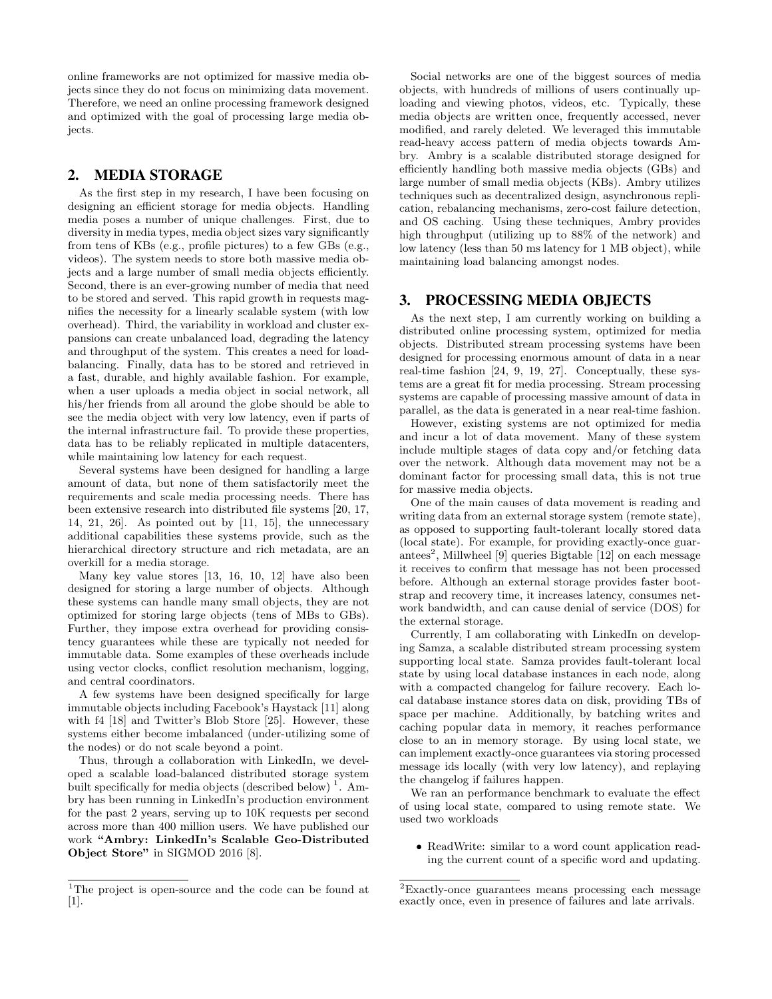online frameworks are not optimized for massive media objects since they do not focus on minimizing data movement. Therefore, we need an online processing framework designed and optimized with the goal of processing large media objects.

# 2. MEDIA STORAGE

As the first step in my research, I have been focusing on designing an efficient storage for media objects. Handling media poses a number of unique challenges. First, due to diversity in media types, media object sizes vary significantly from tens of KBs (e.g., profile pictures) to a few GBs (e.g., videos). The system needs to store both massive media objects and a large number of small media objects efficiently. Second, there is an ever-growing number of media that need to be stored and served. This rapid growth in requests magnifies the necessity for a linearly scalable system (with low overhead). Third, the variability in workload and cluster expansions can create unbalanced load, degrading the latency and throughput of the system. This creates a need for loadbalancing. Finally, data has to be stored and retrieved in a fast, durable, and highly available fashion. For example, when a user uploads a media object in social network, all his/her friends from all around the globe should be able to see the media object with very low latency, even if parts of the internal infrastructure fail. To provide these properties, data has to be reliably replicated in multiple datacenters, while maintaining low latency for each request.

Several systems have been designed for handling a large amount of data, but none of them satisfactorily meet the requirements and scale media processing needs. There has been extensive research into distributed file systems [20, 17, 14, 21, 26]. As pointed out by [11, 15], the unnecessary additional capabilities these systems provide, such as the hierarchical directory structure and rich metadata, are an overkill for a media storage.

Many key value stores [13, 16, 10, 12] have also been designed for storing a large number of objects. Although these systems can handle many small objects, they are not optimized for storing large objects (tens of MBs to GBs). Further, they impose extra overhead for providing consistency guarantees while these are typically not needed for immutable data. Some examples of these overheads include using vector clocks, conflict resolution mechanism, logging, and central coordinators.

A few systems have been designed specifically for large immutable objects including Facebook's Haystack [11] along with f4 [18] and Twitter's Blob Store [25]. However, these systems either become imbalanced (under-utilizing some of the nodes) or do not scale beyond a point.

Thus, through a collaboration with LinkedIn, we developed a scalable load-balanced distributed storage system built specifically for media objects (described below)<sup>1</sup>. Ambry has been running in LinkedIn's production environment for the past 2 years, serving up to 10K requests per second across more than 400 million users. We have published our work "Ambry: LinkedIn's Scalable Geo-Distributed Object Store" in SIGMOD 2016 [8].

Social networks are one of the biggest sources of media objects, with hundreds of millions of users continually uploading and viewing photos, videos, etc. Typically, these media objects are written once, frequently accessed, never modified, and rarely deleted. We leveraged this immutable read-heavy access pattern of media objects towards Ambry. Ambry is a scalable distributed storage designed for efficiently handling both massive media objects (GBs) and large number of small media objects (KBs). Ambry utilizes techniques such as decentralized design, asynchronous replication, rebalancing mechanisms, zero-cost failure detection, and OS caching. Using these techniques, Ambry provides high throughput (utilizing up to 88% of the network) and low latency (less than 50 ms latency for 1 MB object), while maintaining load balancing amongst nodes.

# 3. PROCESSING MEDIA OBJECTS

As the next step, I am currently working on building a distributed online processing system, optimized for media objects. Distributed stream processing systems have been designed for processing enormous amount of data in a near real-time fashion [24, 9, 19, 27]. Conceptually, these systems are a great fit for media processing. Stream processing systems are capable of processing massive amount of data in parallel, as the data is generated in a near real-time fashion.

However, existing systems are not optimized for media and incur a lot of data movement. Many of these system include multiple stages of data copy and/or fetching data over the network. Although data movement may not be a dominant factor for processing small data, this is not true for massive media objects.

One of the main causes of data movement is reading and writing data from an external storage system (remote state), as opposed to supporting fault-tolerant locally stored data (local state). For example, for providing exactly-once guarantees<sup>2</sup>, Millwheel [9] queries Bigtable [12] on each message it receives to confirm that message has not been processed before. Although an external storage provides faster bootstrap and recovery time, it increases latency, consumes network bandwidth, and can cause denial of service (DOS) for the external storage.

Currently, I am collaborating with LinkedIn on developing Samza, a scalable distributed stream processing system supporting local state. Samza provides fault-tolerant local state by using local database instances in each node, along with a compacted changelog for failure recovery. Each local database instance stores data on disk, providing TBs of space per machine. Additionally, by batching writes and caching popular data in memory, it reaches performance close to an in memory storage. By using local state, we can implement exactly-once guarantees via storing processed message ids locally (with very low latency), and replaying the changelog if failures happen.

We ran an performance benchmark to evaluate the effect of using local state, compared to using remote state. We used two workloads

• ReadWrite: similar to a word count application reading the current count of a specific word and updating.

<sup>&</sup>lt;sup>1</sup>The project is open-source and the code can be found at [1].

<sup>2</sup>Exactly-once guarantees means processing each message exactly once, even in presence of failures and late arrivals.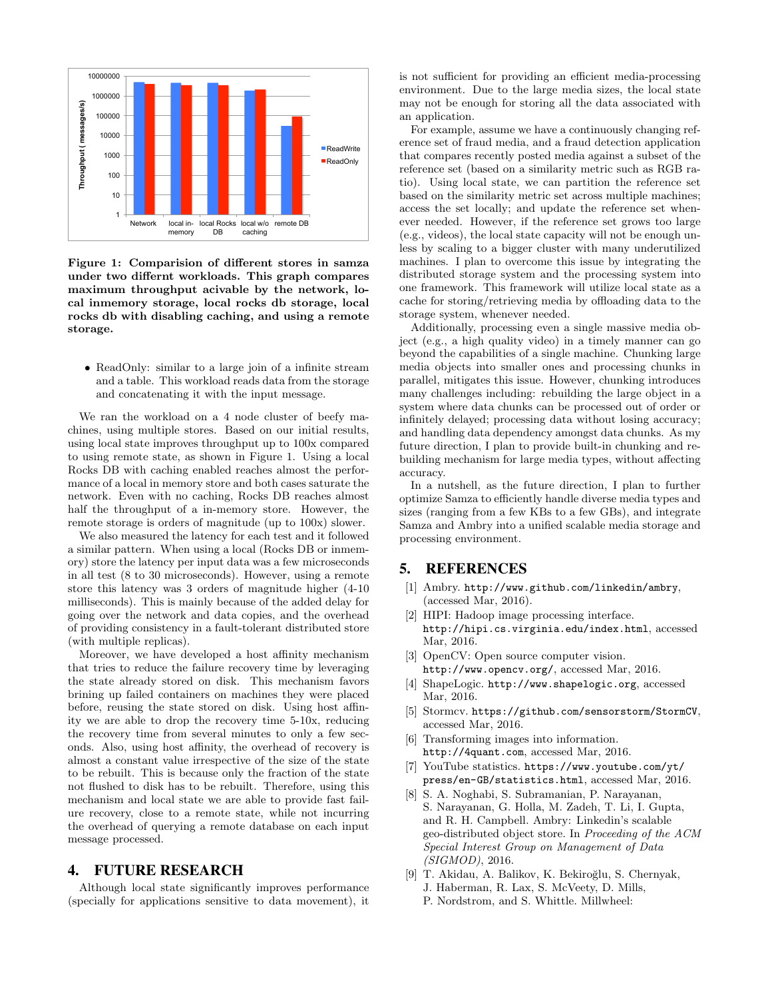

Figure 1: Comparision of different stores in samza under two differnt workloads. This graph compares maximum throughput acivable by the network, local inmemory storage, local rocks db storage, local rocks db with disabling caching, and using a remote storage.

• ReadOnly: similar to a large join of a infinite stream and a table. This workload reads data from the storage and concatenating it with the input message.

We ran the workload on a 4 node cluster of beefy machines, using multiple stores. Based on our initial results, using local state improves throughput up to 100x compared to using remote state, as shown in Figure 1. Using a local Rocks DB with caching enabled reaches almost the performance of a local in memory store and both cases saturate the network. Even with no caching, Rocks DB reaches almost half the throughput of a in-memory store. However, the remote storage is orders of magnitude (up to 100x) slower.

We also measured the latency for each test and it followed a similar pattern. When using a local (Rocks DB or inmemory) store the latency per input data was a few microseconds in all test (8 to 30 microseconds). However, using a remote store this latency was 3 orders of magnitude higher (4-10 milliseconds). This is mainly because of the added delay for going over the network and data copies, and the overhead of providing consistency in a fault-tolerant distributed store (with multiple replicas).

Moreover, we have developed a host affinity mechanism that tries to reduce the failure recovery time by leveraging the state already stored on disk. This mechanism favors brining up failed containers on machines they were placed before, reusing the state stored on disk. Using host affinity we are able to drop the recovery time 5-10x, reducing the recovery time from several minutes to only a few seconds. Also, using host affinity, the overhead of recovery is almost a constant value irrespective of the size of the state to be rebuilt. This is because only the fraction of the state not flushed to disk has to be rebuilt. Therefore, using this mechanism and local state we are able to provide fast failure recovery, close to a remote state, while not incurring the overhead of querying a remote database on each input message processed.

#### 4. FUTURE RESEARCH

Although local state significantly improves performance (specially for applications sensitive to data movement), it

is not sufficient for providing an efficient media-processing environment. Due to the large media sizes, the local state may not be enough for storing all the data associated with an application.

For example, assume we have a continuously changing reference set of fraud media, and a fraud detection application that compares recently posted media against a subset of the reference set (based on a similarity metric such as RGB ratio). Using local state, we can partition the reference set based on the similarity metric set across multiple machines; access the set locally; and update the reference set whenever needed. However, if the reference set grows too large (e.g., videos), the local state capacity will not be enough unless by scaling to a bigger cluster with many underutilized machines. I plan to overcome this issue by integrating the distributed storage system and the processing system into one framework. This framework will utilize local state as a cache for storing/retrieving media by offloading data to the storage system, whenever needed.

Additionally, processing even a single massive media object (e.g., a high quality video) in a timely manner can go beyond the capabilities of a single machine. Chunking large media objects into smaller ones and processing chunks in parallel, mitigates this issue. However, chunking introduces many challenges including: rebuilding the large object in a system where data chunks can be processed out of order or infinitely delayed; processing data without losing accuracy; and handling data dependency amongst data chunks. As my future direction, I plan to provide built-in chunking and rebuilding mechanism for large media types, without affecting accuracy.

In a nutshell, as the future direction, I plan to further optimize Samza to efficiently handle diverse media types and sizes (ranging from a few KBs to a few GBs), and integrate Samza and Ambry into a unified scalable media storage and processing environment.

# 5. REFERENCES

- [1] Ambry. http://www.github.com/linkedin/ambry, (accessed Mar, 2016).
- [2] HIPI: Hadoop image processing interface. http://hipi.cs.virginia.edu/index.html, accessed Mar, 2016.
- [3] OpenCV: Open source computer vision. http://www.opencv.org/, accessed Mar, 2016.
- [4] ShapeLogic. http://www.shapelogic.org, accessed Mar, 2016.
- [5] Stormcv. https://github.com/sensorstorm/StormCV, accessed Mar, 2016.
- [6] Transforming images into information. http://4quant.com, accessed Mar, 2016.
- [7] YouTube statistics. https://www.youtube.com/yt/ press/en-GB/statistics.html, accessed Mar, 2016.
- [8] S. A. Noghabi, S. Subramanian, P. Narayanan, S. Narayanan, G. Holla, M. Zadeh, T. Li, I. Gupta, and R. H. Campbell. Ambry: Linkedin's scalable geo-distributed object store. In Proceeding of the ACM Special Interest Group on Management of Data (SIGMOD), 2016.
- [9] T. Akidau, A. Balikov, K. Bekiroğlu, S. Chernyak, J. Haberman, R. Lax, S. McVeety, D. Mills,
	- P. Nordstrom, and S. Whittle. Millwheel: